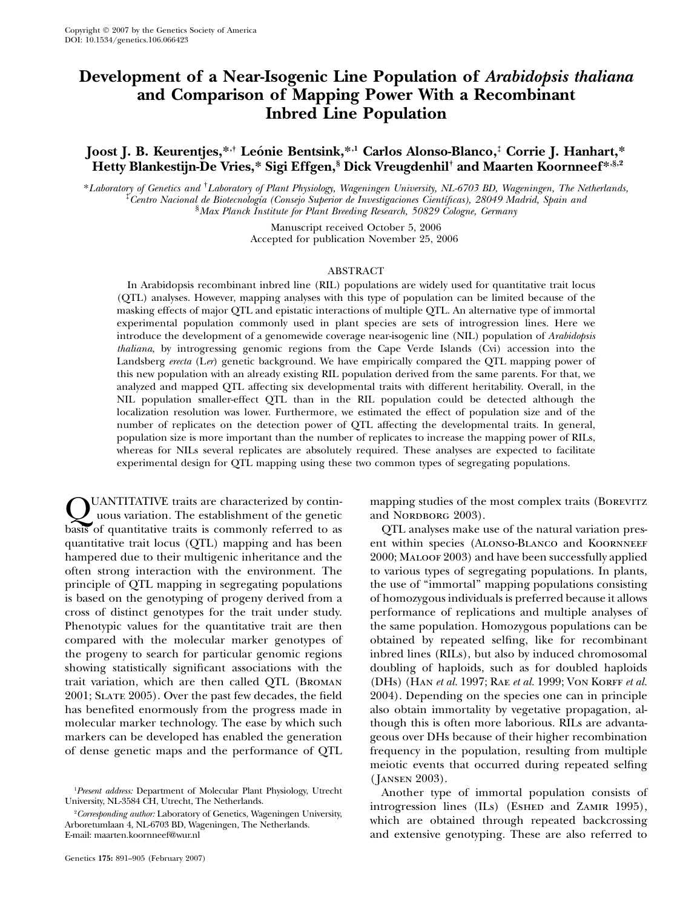# Development of a Near-Isogenic Line Population of Arabidopsis thaliana and Comparison of Mapping Power With a Recombinant Inbred Line Population

## Joost J. B. Keurentjes,\*,† Leónie Bentsink,\*,<sup>1</sup> Carlos Alonso-Blanco,<sup>†</sup> Corrie J. Hanhart,\* Hetty Blankestijn-De Vries,\* Sigi Effgen,§ Dick Vreugdenhil† and Maarten Koornneef\*,§,2

\*Laboratory of Genetics and † Laboratory of Plant Physiology, Wageningen University, NL-6703 BD, Wageningen, The Netherlands, ‡  $^{\rm f}$ Centro Nacional de Biotecnología (Consejo Superior de Investigaciones Científicas), 28049 Madrid, Spain and Max Planck Institute for Plant Breeding Research, 50829 Cologne, Germany

> Manuscript received October 5, 2006 Accepted for publication November 25, 2006

#### ABSTRACT

In Arabidopsis recombinant inbred line (RIL) populations are widely used for quantitative trait locus (QTL) analyses. However, mapping analyses with this type of population can be limited because of the masking effects of major QTL and epistatic interactions of multiple QTL. An alternative type of immortal experimental population commonly used in plant species are sets of introgression lines. Here we introduce the development of a genomewide coverage near-isogenic line (NIL) population of Arabidopsis thaliana, by introgressing genomic regions from the Cape Verde Islands (Cvi) accession into the Landsberg erecta (Ler) genetic background. We have empirically compared the QTL mapping power of this new population with an already existing RIL population derived from the same parents. For that, we analyzed and mapped QTL affecting six developmental traits with different heritability. Overall, in the NIL population smaller-effect QTL than in the RIL population could be detected although the localization resolution was lower. Furthermore, we estimated the effect of population size and of the number of replicates on the detection power of QTL affecting the developmental traits. In general, population size is more important than the number of replicates to increase the mapping power of RILs, whereas for NILs several replicates are absolutely required. These analyses are expected to facilitate experimental design for QTL mapping using these two common types of segregating populations.

UANTITATIVE traits are characterized by continuous variation. The establishment of the genetic basis of quantitative traits is commonly referred to as quantitative trait locus (QTL) mapping and has been hampered due to their multigenic inheritance and the often strong interaction with the environment. The principle of QTL mapping in segregating populations is based on the genotyping of progeny derived from a cross of distinct genotypes for the trait under study. Phenotypic values for the quantitative trait are then compared with the molecular marker genotypes of the progeny to search for particular genomic regions showing statistically significant associations with the trait variation, which are then called QTL (Broman 2001; Slate 2005). Over the past few decades, the field has benefited enormously from the progress made in molecular marker technology. The ease by which such markers can be developed has enabled the generation of dense genetic maps and the performance of QTL

mapping studies of the most complex traits (BOREVITZ and NORDBORG 2003).

QTL analyses make use of the natural variation present within species (Alonso-Blanco and Koornneef 2000; Maloof 2003) and have been successfully applied to various types of segregating populations. In plants, the use of ''immortal'' mapping populations consisting of homozygous individuals is preferred because it allows performance of replications and multiple analyses of the same population. Homozygous populations can be obtained by repeated selfing, like for recombinant inbred lines (RILs), but also by induced chromosomal doubling of haploids, such as for doubled haploids (DHs) (HAN et al. 1997; RAE et al. 1999; VON KORFF et al. 2004). Depending on the species one can in principle also obtain immortality by vegetative propagation, although this is often more laborious. RILs are advantageous over DHs because of their higher recombination frequency in the population, resulting from multiple meiotic events that occurred during repeated selfing ( Jansen 2003).

Another type of immortal population consists of introgression lines (ILs) (Eshen and ZAMIR 1995), which are obtained through repeated backcrossing and extensive genotyping. These are also referred to

<sup>&</sup>lt;sup>1</sup>Present address: Department of Molecular Plant Physiology, Utrecht University, NL-3584 CH, Utrecht, The Netherlands.

<sup>&</sup>lt;sup>2</sup> Corresponding author: Laboratory of Genetics, Wageningen University, Arboretumlaan 4, NL-6703 BD, Wageningen, The Netherlands. E-mail: maarten.koornneef@wur.nl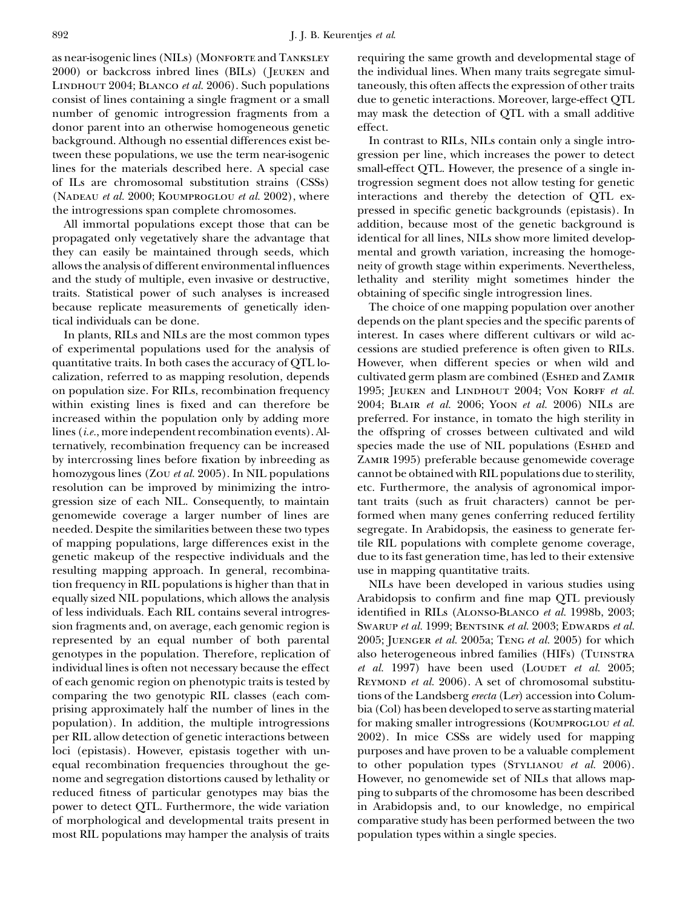as near-isogenic lines (NILs) (MONFORTE and TANKSLEY 2000) or backcross inbred lines (BILs) ( Jeuken and LINDHOUT 2004; BLANCO et al. 2006). Such populations consist of lines containing a single fragment or a small number of genomic introgression fragments from a donor parent into an otherwise homogeneous genetic background. Although no essential differences exist between these populations, we use the term near-isogenic lines for the materials described here. A special case of ILs are chromosomal substitution strains (CSSs) (NADEAU et al. 2000; KOUMPROGLOU et al. 2002), where the introgressions span complete chromosomes.

All immortal populations except those that can be propagated only vegetatively share the advantage that they can easily be maintained through seeds, which allows the analysis of different environmental influences and the study of multiple, even invasive or destructive, traits. Statistical power of such analyses is increased because replicate measurements of genetically identical individuals can be done.

In plants, RILs and NILs are the most common types of experimental populations used for the analysis of quantitative traits. In both cases the accuracy of QTL localization, referred to as mapping resolution, depends on population size. For RILs, recombination frequency within existing lines is fixed and can therefore be increased within the population only by adding more lines (i.e., more independent recombination events). Alternatively, recombination frequency can be increased by intercrossing lines before fixation by inbreeding as homozygous lines (Zou *et al.* 2005). In NIL populations resolution can be improved by minimizing the introgression size of each NIL. Consequently, to maintain genomewide coverage a larger number of lines are needed. Despite the similarities between these two types of mapping populations, large differences exist in the genetic makeup of the respective individuals and the resulting mapping approach. In general, recombination frequency in RIL populations is higher than that in equally sized NIL populations, which allows the analysis of less individuals. Each RIL contains several introgression fragments and, on average, each genomic region is represented by an equal number of both parental genotypes in the population. Therefore, replication of individual lines is often not necessary because the effect of each genomic region on phenotypic traits is tested by comparing the two genotypic RIL classes (each comprising approximately half the number of lines in the population). In addition, the multiple introgressions per RIL allow detection of genetic interactions between loci (epistasis). However, epistasis together with unequal recombination frequencies throughout the genome and segregation distortions caused by lethality or reduced fitness of particular genotypes may bias the power to detect QTL. Furthermore, the wide variation of morphological and developmental traits present in most RIL populations may hamper the analysis of traits requiring the same growth and developmental stage of the individual lines. When many traits segregate simultaneously, this often affects the expression of other traits due to genetic interactions. Moreover, large-effect QTL may mask the detection of QTL with a small additive effect.

In contrast to RILs, NILs contain only a single introgression per line, which increases the power to detect small-effect QTL. However, the presence of a single introgression segment does not allow testing for genetic interactions and thereby the detection of QTL expressed in specific genetic backgrounds (epistasis). In addition, because most of the genetic background is identical for all lines, NILs show more limited developmental and growth variation, increasing the homogeneity of growth stage within experiments. Nevertheless, lethality and sterility might sometimes hinder the obtaining of specific single introgression lines.

The choice of one mapping population over another depends on the plant species and the specific parents of interest. In cases where different cultivars or wild accessions are studied preference is often given to RILs. However, when different species or when wild and cultivated germ plasm are combined (EsHED and ZAMIR 1995; JEUKEN and LINDHOUT 2004; VON KORFF et al. 2004; Blair et al. 2006; Yoon et al. 2006) NILs are preferred. For instance, in tomato the high sterility in the offspring of crosses between cultivated and wild species made the use of NIL populations (EsHED and Zamir 1995) preferable because genomewide coverage cannot be obtained with RIL populations due to sterility, etc. Furthermore, the analysis of agronomical important traits (such as fruit characters) cannot be performed when many genes conferring reduced fertility segregate. In Arabidopsis, the easiness to generate fertile RIL populations with complete genome coverage, due to its fast generation time, has led to their extensive use in mapping quantitative traits.

NILs have been developed in various studies using Arabidopsis to confirm and fine map QTL previously identified in RILs (Alonso-Blanco et al. 1998b, 2003; SWARUP et al. 1999; BENTSINK et al. 2003; EDWARDS et al. 2005; JUENGER et al. 2005a; TENG et al. 2005) for which also heterogeneous inbred families (HIFs) (Tuinstra  $et \ al.$  1997) have been used (LOUDET  $et \ al.$  2005; Reymond et al. 2006). A set of chromosomal substitutions of the Landsberg erecta (Ler) accession into Columbia (Col) has been developed to serve as starting material for making smaller introgressions (KOUMPROGLOU et al. 2002). In mice CSSs are widely used for mapping purposes and have proven to be a valuable complement to other population types (STYLIANOU et al. 2006). However, no genomewide set of NILs that allows mapping to subparts of the chromosome has been described in Arabidopsis and, to our knowledge, no empirical comparative study has been performed between the two population types within a single species.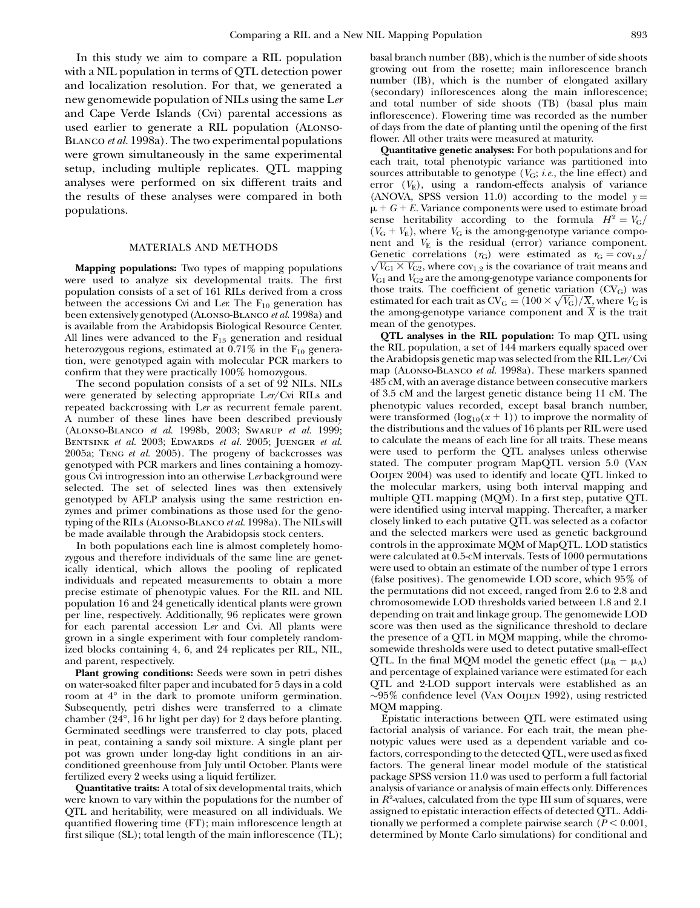In this study we aim to compare a RIL population with a NIL population in terms of QTL detection power and localization resolution. For that, we generated a new genomewide population of NILs using the same Ler and Cape Verde Islands (Cvi) parental accessions as used earlier to generate a RIL population (Alonso-BLANCO *et al.* 1998a). The two experimental populations were grown simultaneously in the same experimental setup, including multiple replicates. QTL mapping analyses were performed on six different traits and the results of these analyses were compared in both populations.

#### MATERIALS AND METHODS

Mapping populations: Two types of mapping populations were used to analyze six developmental traits. The first population consists of a set of 161 RILs derived from a cross between the accessions Cvi and Ler. The  $F_{10}$  generation has been extensively genotyped (ALONSO-BLANCO et al. 1998a) and is available from the Arabidopsis Biological Resource Center. All lines were advanced to the  $F_{13}$  generation and residual heterozygous regions, estimated at  $0.71\%$  in the  $F_{10}$  generation, were genotyped again with molecular PCR markers to confirm that they were practically 100% homozygous.

The second population consists of a set of 92 NILs. NILs were generated by selecting appropriate Ler/Cvi RILs and repeated backcrossing with Ler as recurrent female parent. A number of these lines have been described previously (Alonso-Blanco et al. 1998b, 2003; Swarup et al. 1999; BENTSINK et al. 2003; EDWARDS et al. 2005; JUENGER et al. 2005a; TENG et al. 2005). The progeny of backcrosses was genotyped with PCR markers and lines containing a homozygous Cvi introgression into an otherwise Ler background were selected. The set of selected lines was then extensively genotyped by AFLP analysis using the same restriction enzymes and primer combinations as those used for the genotyping of the RILs (Alonso-Blanco et al. 1998a). The NILs will be made available through the Arabidopsis stock centers.

In both populations each line is almost completely homozygous and therefore individuals of the same line are genetically identical, which allows the pooling of replicated individuals and repeated measurements to obtain a more precise estimate of phenotypic values. For the RIL and NIL population 16 and 24 genetically identical plants were grown per line, respectively. Additionally, 96 replicates were grown for each parental accession Ler and Cvi. All plants were grown in a single experiment with four completely randomized blocks containing 4, 6, and 24 replicates per RIL, NIL, and parent, respectively.

Plant growing conditions: Seeds were sown in petri dishes on water-soaked filter paper and incubated for 5 days in a cold room at  $4^{\circ}$  in the dark to promote uniform germination. Subsequently, petri dishes were transferred to a climate chamber ( $24^{\circ}$ , 16 hr light per day) for 2 days before planting. Germinated seedlings were transferred to clay pots, placed in peat, containing a sandy soil mixture. A single plant per pot was grown under long-day light conditions in an airconditioned greenhouse from July until October. Plants were fertilized every 2 weeks using a liquid fertilizer.

Quantitative traits: A total of six developmental traits, which were known to vary within the populations for the number of QTL and heritability, were measured on all individuals. We quantified flowering time (FT); main inflorescence length at first silique (SL); total length of the main inflorescence (TL);

basal branch number (BB), which is the number of side shoots growing out from the rosette; main inflorescence branch number (IB), which is the number of elongated axillary (secondary) inflorescences along the main inflorescence; and total number of side shoots (TB) (basal plus main inflorescence). Flowering time was recorded as the number of days from the date of planting until the opening of the first flower. All other traits were measured at maturity.

Quantitative genetic analyses: For both populations and for each trait, total phenotypic variance was partitioned into sources attributable to genotype  $(V_G; i.e.,$  the line effect) and error  $(V_E)$ , using a random-effects analysis of variance (ANOVA, SPSS version 11.0) according to the model  $y =$  $\mu + G + E$ . Variance components were used to estimate broad sense heritability according to the formula  $H^2=V_G/$  $(V<sub>G</sub> + V<sub>E</sub>)$ , where  $V<sub>G</sub>$  is the among-genotype variance component and  $V_{\rm E}$  is the residual (error) variance component. Genetic correlations  $(r_G)$  were estimated as  $r_G = \text{cov}_{1,2}/$  $\sqrt{V_{G1} \times V_{G2}}$ , where cov<sub>1,2</sub> is the covariance of trait means and VG1 and VG2 are the among-genotype variance components for those traits. The coefficient of genetic variation  $(CV_G)$  was those traits. The coefficient of genetic variation (CV<sub>G</sub>) was<br>estimated for each trait as  $CV_G = (100 \times \sqrt{V_G})/\overline{X}$ , where  $V_G$  is the among-genotype variance component and  $\overline{X}$  is the trait mean of the genotypes.

QTL analyses in the RIL population: To map QTL using the RIL population, a set of 144 markers equally spaced over the Arabidopsis genetic map was selected from the RIL Ler/Cvi map (Alonso-Blanco et al. 1998a). These markers spanned 485 cM, with an average distance between consecutive markers of 3.5 cM and the largest genetic distance being 11 cM. The phenotypic values recorded, except basal branch number, were transformed  $(log_{10}(x + 1))$  to improve the normality of the distributions and the values of 16 plants per RIL were used to calculate the means of each line for all traits. These means were used to perform the QTL analyses unless otherwise stated. The computer program MapQTL version 5.0 (Van Ooijen 2004) was used to identify and locate QTL linked to the molecular markers, using both interval mapping and multiple QTL mapping (MQM). In a first step, putative QTL were identified using interval mapping. Thereafter, a marker closely linked to each putative QTL was selected as a cofactor and the selected markers were used as genetic background controls in the approximate MQM of MapQTL. LOD statistics were calculated at 0.5-cM intervals. Tests of 1000 permutations were used to obtain an estimate of the number of type 1 errors (false positives). The genomewide LOD score, which 95% of the permutations did not exceed, ranged from 2.6 to 2.8 and chromosomewide LOD thresholds varied between 1.8 and 2.1 depending on trait and linkage group. The genomewide LOD score was then used as the significance threshold to declare the presence of a QTL in MQM mapping, while the chromosomewide thresholds were used to detect putative small-effect QTL. In the final MQM model the genetic effect  $(\mu_B - \mu_A)$ and percentage of explained variance were estimated for each QTL and 2-LOD support intervals were established as an  $\sim 95\%$  confidence level (VAN OOIJEN 1992), using restricted MQM mapping.

Epistatic interactions between QTL were estimated using factorial analysis of variance. For each trait, the mean phenotypic values were used as a dependent variable and cofactors, corresponding to the detected QTL, were used as fixed factors. The general linear model module of the statistical package SPSS version 11.0 was used to perform a full factorial analysis of variance or analysis of main effects only. Differences in  $R^2$ -values, calculated from the type III sum of squares, were assigned to epistatic interaction effects of detected QTL. Additionally we performed a complete pairwise search  $(P < 0.001$ , determined by Monte Carlo simulations) for conditional and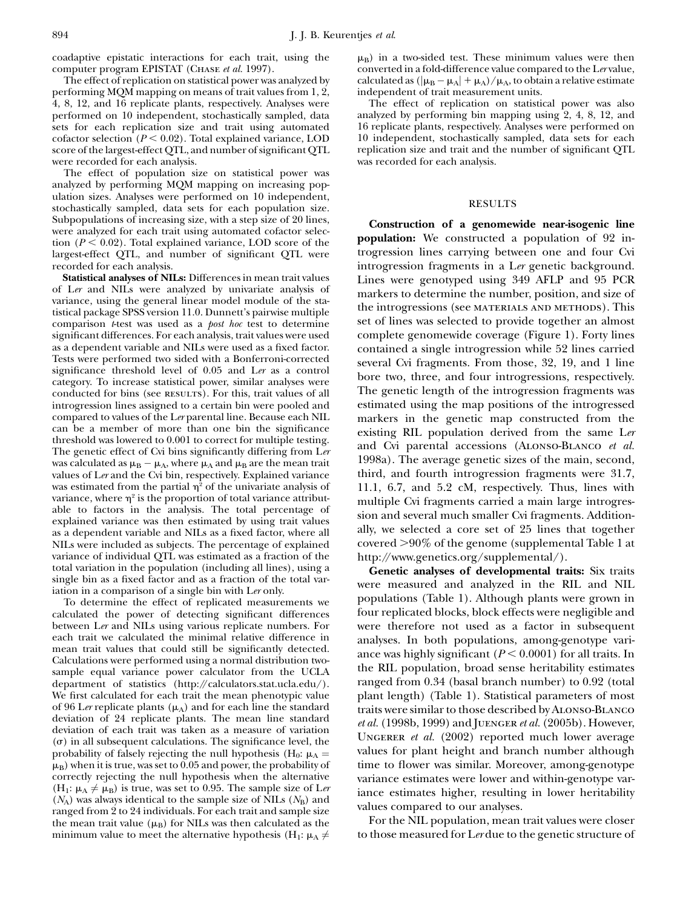coadaptive epistatic interactions for each trait, using the computer program EPISTAT (CHASE et al. 1997).

The effect of replication on statistical power was analyzed by performing MQM mapping on means of trait values from 1, 2, 4, 8, 12, and 16 replicate plants, respectively. Analyses were performed on 10 independent, stochastically sampled, data sets for each replication size and trait using automated cofactor selection ( $P < 0.02$ ). Total explained variance, LOD score of the largest-effect QTL, and number of significant QTL were recorded for each analysis.

The effect of population size on statistical power was analyzed by performing MQM mapping on increasing population sizes. Analyses were performed on 10 independent, stochastically sampled, data sets for each population size. Subpopulations of increasing size, with a step size of 20 lines, were analyzed for each trait using automated cofactor selection  $(P < 0.02)$ . Total explained variance, LOD score of the largest-effect QTL, and number of significant QTL were recorded for each analysis.

Statistical analyses of NILs: Differences in mean trait values of Ler and NILs were analyzed by univariate analysis of variance, using the general linear model module of the statistical package SPSS version 11.0. Dunnett's pairwise multiple comparison t-test was used as a post hoc test to determine significant differences. For each analysis, trait values were used as a dependent variable and NILs were used as a fixed factor. Tests were performed two sided with a Bonferroni-corrected significance threshold level of 0.05 and Ler as a control category. To increase statistical power, similar analyses were conducted for bins (see RESULTS). For this, trait values of all introgression lines assigned to a certain bin were pooled and compared to values of the Ler parental line. Because each NIL can be a member of more than one bin the significance threshold was lowered to 0.001 to correct for multiple testing. The genetic effect of Cvi bins significantly differing from Ler was calculated as  $\mu_{\rm B} - \mu_{\rm A}$ , where  $\mu_{\rm A}$  and  $\mu_{\rm B}$  are the mean trait values of Ler and the Cvi bin, respectively. Explained variance was estimated from the partial  $\eta^2$  of the univariate analysis of variance, where  $\eta^2$  is the proportion of total variance attributable to factors in the analysis. The total percentage of explained variance was then estimated by using trait values as a dependent variable and NILs as a fixed factor, where all NILs were included as subjects. The percentage of explained variance of individual QTL was estimated as a fraction of the total variation in the population (including all lines), using a single bin as a fixed factor and as a fraction of the total variation in a comparison of a single bin with Ler only.

To determine the effect of replicated measurements we calculated the power of detecting significant differences between Ler and NILs using various replicate numbers. For each trait we calculated the minimal relative difference in mean trait values that could still be significantly detected. Calculations were performed using a normal distribution twosample equal variance power calculator from the UCLA department of statistics (http://calculators.stat.ucla.edu/). We first calculated for each trait the mean phenotypic value of 96 Ler replicate plants  $(\mu_A)$  and for each line the standard deviation of 24 replicate plants. The mean line standard deviation of each trait was taken as a measure of variation  $(\sigma)$  in all subsequent calculations. The significance level, the probability of falsely rejecting the null hypothesis ( $H_0$ :  $\mu_A$  =  $\mu_B$ ) when it is true, was set to 0.05 and power, the probability of correctly rejecting the null hypothesis when the alternative  $(H_1: \mu_A \neq \mu_B)$  is true, was set to 0.95. The sample size of Ler  $(N_A)$  was always identical to the sample size of NILs  $(N_B)$  and ranged from 2 to 24 individuals. For each trait and sample size the mean trait value  $(\mu_B)$  for NILs was then calculated as the minimum value to meet the alternative hypothesis (H<sub>1</sub>:  $\mu_A \neq$ 

 $\mu_B$ ) in a two-sided test. These minimum values were then converted in a fold-difference value compared to the Ler value, calculated as  $(|\mu_{\rm B} - \mu_{\rm A}| + \mu_{\rm A})/\mu_{\rm A}$ , to obtain a relative estimate independent of trait measurement units.

The effect of replication on statistical power was also analyzed by performing bin mapping using 2, 4, 8, 12, and 16 replicate plants, respectively. Analyses were performed on 10 independent, stochastically sampled, data sets for each replication size and trait and the number of significant QTL was recorded for each analysis.

### RESULTS

Construction of a genomewide near-isogenic line population: We constructed a population of 92 introgression lines carrying between one and four Cvi introgression fragments in a Ler genetic background. Lines were genotyped using 349 AFLP and 95 PCR markers to determine the number, position, and size of the introgressions (see materials and methods). This set of lines was selected to provide together an almost complete genomewide coverage (Figure 1). Forty lines contained a single introgression while 52 lines carried several Cvi fragments. From those, 32, 19, and 1 line bore two, three, and four introgressions, respectively. The genetic length of the introgression fragments was estimated using the map positions of the introgressed markers in the genetic map constructed from the existing RIL population derived from the same Ler and Cvi parental accessions (Alonso-Blanco et al. 1998a). The average genetic sizes of the main, second, third, and fourth introgression fragments were 31.7, 11.1, 6.7, and 5.2 cM, respectively. Thus, lines with multiple Cvi fragments carried a main large introgression and several much smaller Cvi fragments. Additionally, we selected a core set of 25 lines that together covered  $>90\%$  of the genome (supplemental Table 1 at http://www.genetics.org/supplemental/).

Genetic analyses of developmental traits: Six traits were measured and analyzed in the RIL and NIL populations (Table 1). Although plants were grown in four replicated blocks, block effects were negligible and were therefore not used as a factor in subsequent analyses. In both populations, among-genotype variance was highly significant ( $P < 0.0001$ ) for all traits. In the RIL population, broad sense heritability estimates ranged from 0.34 (basal branch number) to 0.92 (total plant length) (Table 1). Statistical parameters of most traits were similar to those described by Alonso-Blanco et al. (1998b, 1999) and JUENGER et al. (2005b). However, UNGERER et al. (2002) reported much lower average values for plant height and branch number although time to flower was similar. Moreover, among-genotype variance estimates were lower and within-genotype variance estimates higher, resulting in lower heritability values compared to our analyses.

For the NIL population, mean trait values were closer to those measured for Ler due to the genetic structure of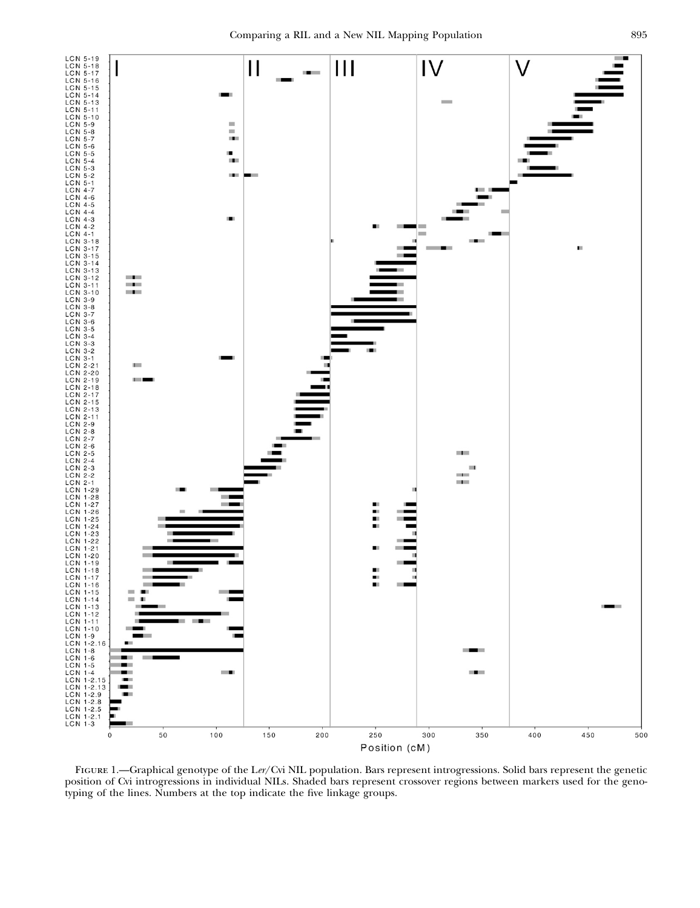

FIGURE 1.—Graphical genotype of the Ler/Cvi NIL population. Bars represent introgressions. Solid bars represent the genetic position of Cvi introgressions in individual NILs. Shaded bars represent crossover regions between markers used for the genotyping of the lines. Numbers at the top indicate the five linkage groups.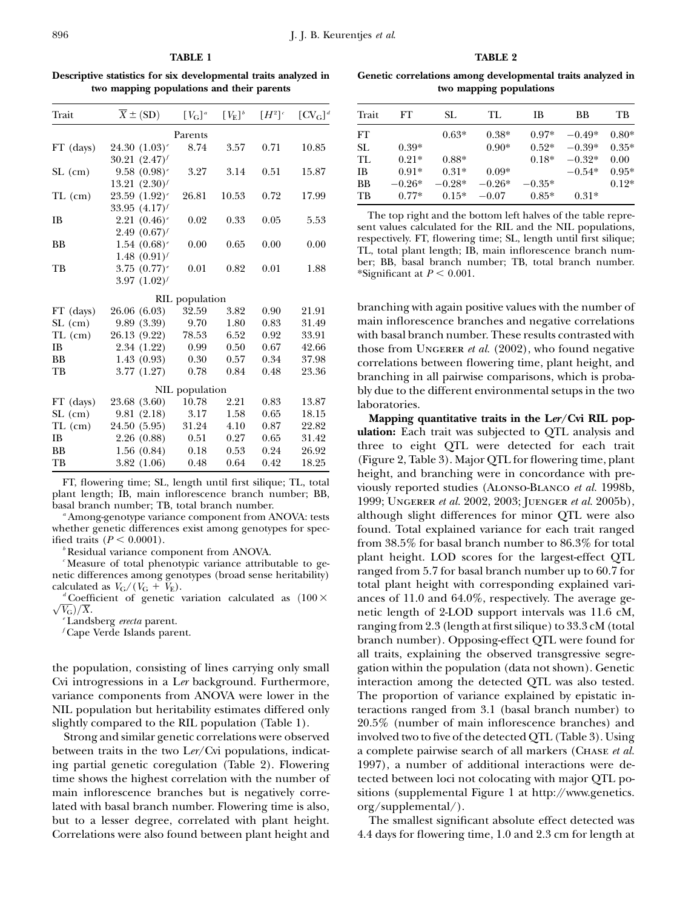Descriptive statistics for six developmental traits analyzed in two mapping populations and their parents

| Trait       | $\overline{X} \pm (SD)$                       | $\lceil V_{\text{G}} \rceil^a$ | $[V_{\rm E}]^b$ | $[H^2]^c$ | $[\text{CV}_G]^d$ |  |  |  |  |
|-------------|-----------------------------------------------|--------------------------------|-----------------|-----------|-------------------|--|--|--|--|
| Parents     |                                               |                                |                 |           |                   |  |  |  |  |
| $FT$ (days) | 24.30 $(1.03)^e$                              | 8.74                           | 3.57            | 0.71      | 10.85             |  |  |  |  |
| $SL$ (cm)   | $30.21 (2.47)^f$<br>9.58 $(0.98)^e$           | 3.27                           | 3.14            | 0.51      | 15.87             |  |  |  |  |
| $TL$ (cm)   | $13.21 (2.30)^f$<br>$23.59$ $(1.92)^e$        | 26.81                          | 10.53           | 0.72      | 17.99             |  |  |  |  |
| <b>IB</b>   | 33.95 $(4.17)^f$<br>$2.21(0.46)$ <sup>e</sup> | 0.02                           | 0.33            | 0.05      | 5.53              |  |  |  |  |
|             | $2.49(0.67)^f$                                |                                |                 |           |                   |  |  |  |  |
| <b>BB</b>   | 1.54 $(0.68)^e$<br>$1.48$ $(0.91)^f$          | 0.00                           | 0.65            | 0.00      | 0.00              |  |  |  |  |
| TB          | 3.75 $(0.77)^e$<br>3.97 $(1.02)^f$            | 0.01                           | 0.82            | 0.01      | 1.88              |  |  |  |  |
|             |                                               | RIL population                 |                 |           |                   |  |  |  |  |
| $FT$ (days) | 26.06 (6.03)                                  | 32.59                          | 3.82            | 0.90      | 21.91             |  |  |  |  |
| $SL$ (cm)   | 9.89(3.39)                                    | 9.70                           | 1.80            | 0.83      | 31.49             |  |  |  |  |
| $TL$ (cm)   | 26.13 (9.22)                                  | 78.53                          | 6.52            | 0.92      | 33.91             |  |  |  |  |
| <b>IB</b>   | 2.34 (1.22)                                   | 0.99                           | 0.50            | 0.67      | 42.66             |  |  |  |  |
| <b>BB</b>   | 1.43(0.93)                                    | 0.30                           | 0.57            | 0.34      | 37.98             |  |  |  |  |
| TB          | 3.77(1.27)                                    | 0.78                           | 0.84            | 0.48      | 23.36             |  |  |  |  |
|             |                                               | NIL population                 |                 |           |                   |  |  |  |  |
| FT (days)   | 23.68 (3.60)                                  | 10.78                          | 2.21            | 0.83      | 13.87             |  |  |  |  |
| $SL$ (cm)   | 9.81(2.18)                                    | 3.17                           | 1.58            | 0.65      | 18.15             |  |  |  |  |
| $TL$ (cm)   | 24.50 (5.95)                                  | 31.24                          | 4.10            | 0.87      | 22.82             |  |  |  |  |
| <b>IB</b>   | 2.26 (0.88)                                   | 0.51                           | 0.27            | 0.65      | 31.42             |  |  |  |  |
| <b>BB</b>   | 1.56(0.84)                                    | 0.18                           | 0.53            | 0.24      | 26.92             |  |  |  |  |
| TВ          | 3.82(1.06)                                    | 0.48                           | 0.64            | 0.42      | 18.25             |  |  |  |  |

FT, flowering time; SL, length until first silique; TL, total plant length; IB, main inflorescence branch number; BB,

 $\alpha$ <sup>a</sup> Among-genotype variance component from ANOVA: tests whether genetic differences exist among genotypes for specified traits  $(P < 0.0001)$ .

Residual variance component from ANOVA.

c Measure of total phenotypic variance attributable to genetic differences among genotypes (broad sense heritability) calculated as  $V_G/(V_G + V_E)$ .

<sup>d</sup> Coefficient of genetic variation calculated as  $(100 \times$  $\frac{Cot}{V_{G}}\sqrt{\frac{V_{G}}{X}}$ .

Landsberg erecta parent.

 ${}^f$ Cape Verde Islands parent.

the population, consisting of lines carrying only small Cvi introgressions in a Ler background. Furthermore, variance components from ANOVA were lower in the NIL population but heritability estimates differed only slightly compared to the RIL population (Table 1).

Strong and similar genetic correlations were observed between traits in the two Ler/Cvi populations, indicating partial genetic coregulation (Table 2). Flowering time shows the highest correlation with the number of main inflorescence branches but is negatively correlated with basal branch number. Flowering time is also, but to a lesser degree, correlated with plant height. Correlations were also found between plant height and

Genetic correlations among developmental traits analyzed in

TABLE 2

two mapping populations

| Trait | FT.      | SL.      | TL.      | <b>IB</b> | BB       | TB      |
|-------|----------|----------|----------|-----------|----------|---------|
| FТ    |          | $0.63*$  | $0.38*$  | $0.97*$   | $-0.49*$ | $0.80*$ |
| SL    | $0.39*$  |          | $0.90*$  | $0.52*$   | $-0.39*$ | $0.35*$ |
| TL    | $0.21*$  | $0.88*$  |          | $0.18*$   | $-0.32*$ | 0.00    |
| IB    | $0.91*$  | $0.31*$  | $0.09*$  |           | $-0.54*$ | $0.95*$ |
| BB    | $-0.26*$ | $-0.28*$ | $-0.26*$ | $-0.35*$  |          | $0.12*$ |
| TВ    | $0.77*$  | $0.15*$  | $-0.07$  | $0.85*$   | $0.31*$  |         |
|       |          |          |          |           |          |         |

The top right and the bottom left halves of the table represent values calculated for the RIL and the NIL populations, respectively. FT, flowering time; SL, length until first silique; TL, total plant length; IB, main inflorescence branch number; BB, basal branch number; TB, total branch number. \*Significant at  $P < 0.001$ .

branching with again positive values with the number of main inflorescence branches and negative correlations with basal branch number. These results contrasted with those from UNGERER et al.  $(2002)$ , who found negative correlations between flowering time, plant height, and branching in all pairwise comparisons, which is probably due to the different environmental setups in the two laboratories.

Mapping quantitative traits in the Ler/Cvi RIL population: Each trait was subjected to QTL analysis and three to eight QTL were detected for each trait (Figure 2, Table 3). Major QTL for flowering time, plant height, and branching were in concordance with previously reported studies (Alonso-Blanco et al. 1998b, 1999; UNGERER et al. 2002, 2003; JUENGER et al. 2005b), although slight differences for minor QTL were also found. Total explained variance for each trait ranged from 38.5% for basal branch number to 86.3% for total plant height. LOD scores for the largest-effect QTL ranged from 5.7 for basal branch number up to 60.7 for total plant height with corresponding explained variances of 11.0 and 64.0%, respectively. The average genetic length of 2-LOD support intervals was 11.6 cM, ranging from 2.3 (length at first silique) to 33.3 cM (total branch number). Opposing-effect QTL were found for all traits, explaining the observed transgressive segregation within the population (data not shown). Genetic interaction among the detected QTL was also tested. The proportion of variance explained by epistatic interactions ranged from 3.1 (basal branch number) to 20.5% (number of main inflorescence branches) and involved two to five of the detected QTL (Table 3). Using a complete pairwise search of all markers (CHASE et al. 1997), a number of additional interactions were detected between loci not colocating with major QTL positions (supplemental Figure 1 at http://www.genetics. org/supplemental/).

The smallest significant absolute effect detected was 4.4 days for flowering time, 1.0 and 2.3 cm for length at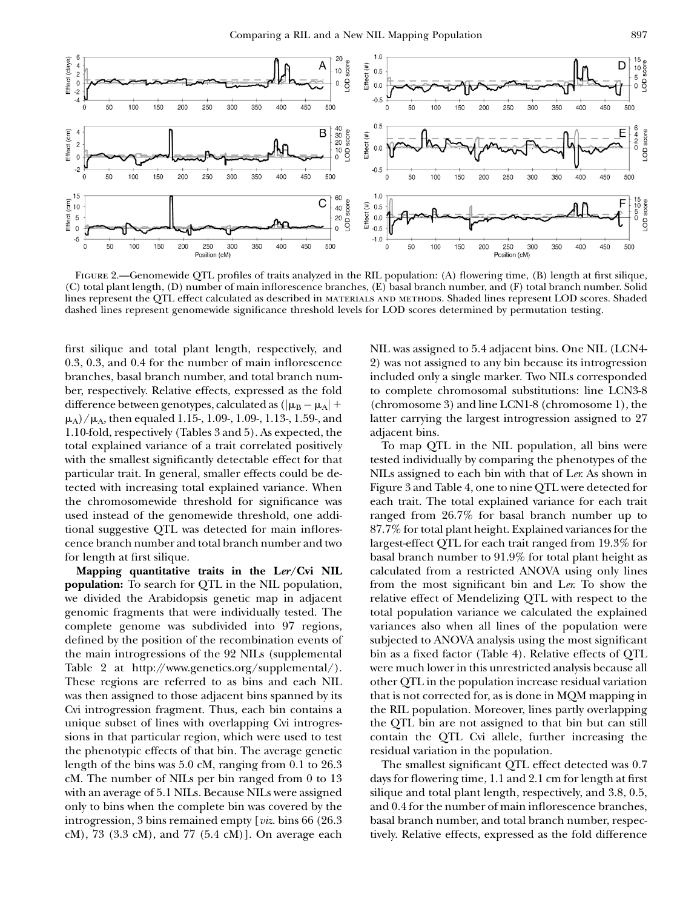

Figure 2.—Genomewide QTL profiles of traits analyzed in the RIL population: (A) flowering time, (B) length at first silique, (C) total plant length, (D) number of main inflorescence branches, (E) basal branch number, and (F) total branch number. Solid lines represent the QTL effect calculated as described in materials and methods. Shaded lines represent LOD scores. Shaded dashed lines represent genomewide significance threshold levels for LOD scores determined by permutation testing.

first silique and total plant length, respectively, and 0.3, 0.3, and 0.4 for the number of main inflorescence branches, basal branch number, and total branch number, respectively. Relative effects, expressed as the fold difference between genotypes, calculated as  $(|\mu_{\rm B}-\mu_{\rm A}|+$  $\mu_A$ )/ $\mu_A$ , then equaled 1.15-, 1.09-, 1.09-, 1.13-, 1.59-, and 1.10-fold, respectively (Tables 3 and 5). As expected, the total explained variance of a trait correlated positively with the smallest significantly detectable effect for that particular trait. In general, smaller effects could be detected with increasing total explained variance. When the chromosomewide threshold for significance was used instead of the genomewide threshold, one additional suggestive QTL was detected for main inflorescence branch number and total branch number and two for length at first silique.

Mapping quantitative traits in the Ler/Cvi NIL population: To search for QTL in the NIL population, we divided the Arabidopsis genetic map in adjacent genomic fragments that were individually tested. The complete genome was subdivided into 97 regions, defined by the position of the recombination events of the main introgressions of the 92 NILs (supplemental Table 2 at http://www.genetics.org/supplemental/). These regions are referred to as bins and each NIL was then assigned to those adjacent bins spanned by its Cvi introgression fragment. Thus, each bin contains a unique subset of lines with overlapping Cvi introgressions in that particular region, which were used to test the phenotypic effects of that bin. The average genetic length of the bins was 5.0 cM, ranging from 0.1 to 26.3 cM. The number of NILs per bin ranged from 0 to 13 with an average of 5.1 NILs. Because NILs were assigned only to bins when the complete bin was covered by the introgression, 3 bins remained empty [viz. bins 66 (26.3 cM), 73 (3.3 cM), and 77 (5.4 cM)]. On average each

NIL was assigned to 5.4 adjacent bins. One NIL (LCN4- 2) was not assigned to any bin because its introgression included only a single marker. Two NILs corresponded to complete chromosomal substitutions: line LCN3-8 (chromosome 3) and line LCN1-8 (chromosome 1), the latter carrying the largest introgression assigned to 27 adjacent bins.

To map QTL in the NIL population, all bins were tested individually by comparing the phenotypes of the NILs assigned to each bin with that of Ler. As shown in Figure 3 and Table 4, one to nine QTL were detected for each trait. The total explained variance for each trait ranged from 26.7% for basal branch number up to 87.7% for total plant height. Explained variances for the largest-effect QTL for each trait ranged from 19.3% for basal branch number to 91.9% for total plant height as calculated from a restricted ANOVA using only lines from the most significant bin and Ler. To show the relative effect of Mendelizing QTL with respect to the total population variance we calculated the explained variances also when all lines of the population were subjected to ANOVA analysis using the most significant bin as a fixed factor (Table 4). Relative effects of QTL were much lower in this unrestricted analysis because all other QTL in the population increase residual variation that is not corrected for, as is done in MQM mapping in the RIL population. Moreover, lines partly overlapping the QTL bin are not assigned to that bin but can still contain the QTL Cvi allele, further increasing the residual variation in the population.

The smallest significant QTL effect detected was 0.7 days for flowering time, 1.1 and 2.1 cm for length at first silique and total plant length, respectively, and 3.8, 0.5, and 0.4 for the number of main inflorescence branches, basal branch number, and total branch number, respectively. Relative effects, expressed as the fold difference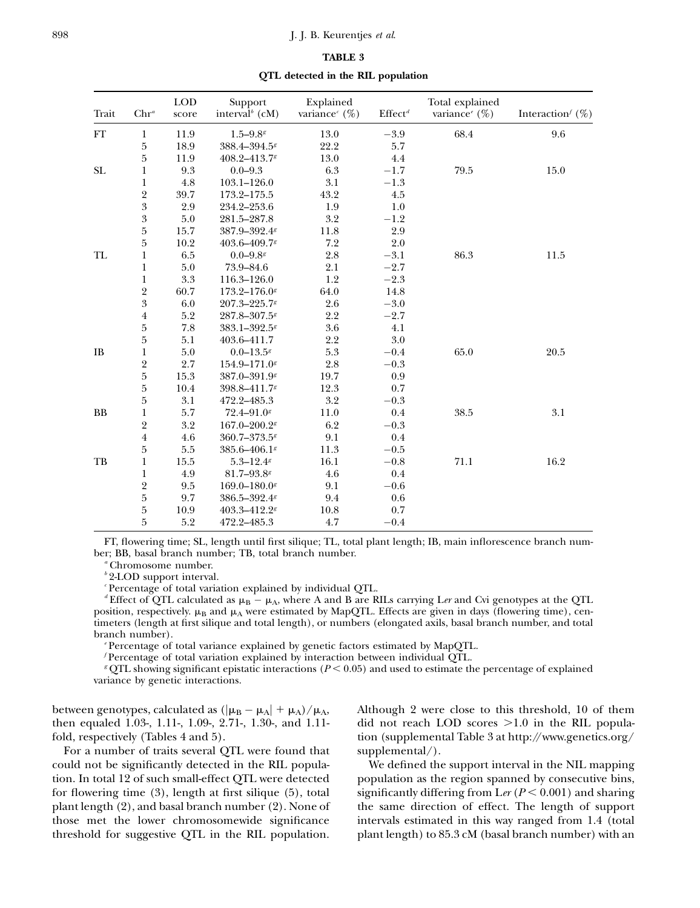| <b>TABLE 3</b>                     |  |
|------------------------------------|--|
| QTL detected in the RIL population |  |

| Trait     | $Chr^a$          | <b>LOD</b><br>score | Support<br>interval <sup><math>b</math></sup> (cM) | Explained<br>variance <sup><math>\epsilon</math></sup> (%) | Effect <sup>d</sup> | Total explained<br>variance <sup><math>e</math></sup> (%) | Interaction $(\%)$ |
|-----------|------------------|---------------------|----------------------------------------------------|------------------------------------------------------------|---------------------|-----------------------------------------------------------|--------------------|
| FT        | 1                | 11.9                | $1.5 - 9.8$                                        | 13.0                                                       | $-3.9$              | 68.4                                                      | 9.6                |
|           | $\overline{5}$   | 18.9                | $388.4 - 394.5$                                    | 22.2                                                       | 5.7                 |                                                           |                    |
|           | 5                | 11.9                | $408.2 - 413.7$                                    | 13.0                                                       | 4.4                 |                                                           |                    |
| <b>SL</b> | $\mathbf{1}$     | 9.3                 | $0.0 - 9.3$                                        | 6.3                                                        | $-1.7$              | 79.5                                                      | 15.0               |
|           | $\,1$            | 4.8                 | 103.1-126.0                                        | 3.1                                                        | $-1.3$              |                                                           |                    |
|           | $\sqrt{2}$       | 39.7                | 173.2-175.5                                        | 43.2                                                       | $4.5\,$             |                                                           |                    |
|           | $\overline{3}$   | $2.9\,$             | 234.2-253.6                                        | 1.9                                                        | $1.0\,$             |                                                           |                    |
|           | $\boldsymbol{3}$ | $5.0\,$             | 281.5-287.8                                        | 3.2                                                        | $-1.2$              |                                                           |                    |
|           | $\bf 5$          | 15.7                | $387.9 - 392.4s$                                   | 11.8                                                       | 2.9                 |                                                           |                    |
|           | $\bf 5$          | 10.2                | $403.6 - 409.7s$                                   | 7.2                                                        | 2.0                 |                                                           |                    |
| TL        | $\mathbf{1}$     | $6.5\,$             | $0.0 - 9.8$                                        | 2.8                                                        | $-3.1$              | 86.3                                                      | 11.5               |
|           | $\,1$            | $5.0\,$             | 73.9-84.6                                          | 2.1                                                        | $-2.7$              |                                                           |                    |
|           | $\,1$            | 3.3                 | 116.3-126.0                                        | 1.2                                                        | $-2.3$              |                                                           |                    |
|           | $\sqrt{2}$       | 60.7                | $173.2 - 176.0$ <sup>s</sup>                       | 64.0                                                       | 14.8                |                                                           |                    |
|           | $\overline{3}$   | 6.0                 | $207.3 - 225.7$                                    | 2.6                                                        | $-3.0$              |                                                           |                    |
|           | $\bf 4$          | 5.2                 | $287.8 - 307.5$ <sup>s</sup>                       | 2.2                                                        | $-2.7$              |                                                           |                    |
|           | $\bf 5$          | $7.8\,$             | $383.1 - 392.5$ <sup>g</sup>                       | 3.6                                                        | 4.1                 |                                                           |                    |
|           | $\bf 5$          | $5.1\,$             | 403.6-411.7                                        | 2.2                                                        | 3.0                 |                                                           |                    |
| <b>IB</b> | $\mathbf{1}$     | 5.0                 | $0.0 - 13.5$ <sup>s</sup>                          | 5.3                                                        | $-0.4$              | 65.0                                                      | 20.5               |
|           | $\overline{2}$   | 2.7                 | 154.9-171.0 $s$                                    | 2.8                                                        | $-0.3$              |                                                           |                    |
|           | $\overline{5}$   | 15.3                | 387.0-391.9g                                       | 19.7                                                       | 0.9                 |                                                           |                    |
|           | $\bf 5$          | 10.4                | 398.8-411.7%                                       | 12.3                                                       | 0.7                 |                                                           |                    |
|           | $\bf 5$          | 3.1                 | 472.2-485.3                                        | 3.2                                                        | $-0.3$              |                                                           |                    |
| <b>BB</b> | $\mathbf{1}$     | 5.7                 | $72.4 - 91.0$                                      | 11.0                                                       | 0.4                 | 38.5                                                      | 3.1                |
|           | $\sqrt{2}$       | 3.2                 | $167.0 - 200.2$ <sup>s</sup>                       | 6.2                                                        | $-0.3$              |                                                           |                    |
|           | $\overline{4}$   | 4.6                 | $360.7 - 373.5$ <sup>s</sup>                       | 9.1                                                        | 0.4                 |                                                           |                    |
|           | $\bf 5$          | 5.5                 | $385.6 - 406.1$ <sup>g</sup>                       | 11.3                                                       | $-0.5$              |                                                           |                    |
| TB        | $\mathbf{1}$     | 15.5                | $5.3 - 12.4$                                       | 16.1                                                       | $-0.8$              | 71.1                                                      | 16.2               |
|           | $\mathbf{1}$     | 4.9                 | $81.7 - 93.8$                                      | 4.6                                                        | 0.4                 |                                                           |                    |
|           | $\sqrt{2}$       | 9.5                 | $169.0 - 180.0$ <sup>s</sup>                       | 9.1                                                        | $-0.6$              |                                                           |                    |
|           | $\overline{5}$   | 9.7                 | 386.5-392.4 <sup>g</sup>                           | 9.4                                                        | 0.6                 |                                                           |                    |
|           | $\overline{5}$   | 10.9                | $403.3 - 412.2$ <sup>g</sup>                       | 10.8                                                       | 0.7                 |                                                           |                    |
|           | $\overline{5}$   | 5.2                 | 472.2-485.3                                        | 4.7                                                        | $-0.4$              |                                                           |                    |

FT, flowering time; SL, length until first silique; TL, total plant length; IB, main inflorescence branch number; BB, basal branch number; TB, total branch number.<br>"Chromosome number.

<sup>b</sup> 2-LOD support interval.

c Percentage of total variation explained by individual QTL.

<sup>d</sup> Effect of QTL calculated as  $\mu_B - \mu_A$ , where A and B are RILs carrying Ler and Cvi genotypes at the QTL position, respectively.  $\mu_B$  and  $\mu_A$  were estimated by MapQTL. Effects are given in days (flowering time), centimeters (length at first silique and total length), or numbers (elongated axils, basal branch number, and total branch number).

Percentage of total variance explained by genetic factors estimated by MapQTL.

f Percentage of total variation explained by interaction between individual QTL.

 $^g$  QTL showing significant epistatic interactions ( $P$  < 0.05) and used to estimate the percentage of explained variance by genetic interactions.

between genotypes, calculated as  $(|\mu_B - \mu_A| + \mu_A)/\mu_A$ , then equaled 1.03-, 1.11-, 1.09-, 2.71-, 1.30-, and 1.11 fold, respectively (Tables 4 and 5).

For a number of traits several QTL were found that could not be significantly detected in the RIL population. In total 12 of such small-effect QTL were detected for flowering time (3), length at first silique (5), total plant length (2), and basal branch number (2). None of those met the lower chromosomewide significance threshold for suggestive QTL in the RIL population. Although 2 were close to this threshold, 10 of them did not reach LOD scores  $>1.0$  in the RIL population (supplemental Table 3 at http://www.genetics.org/ supplemental/).

We defined the support interval in the NIL mapping population as the region spanned by consecutive bins, significantly differing from Ler ( $P < 0.001$ ) and sharing the same direction of effect. The length of support intervals estimated in this way ranged from 1.4 (total plant length) to 85.3 cM (basal branch number) with an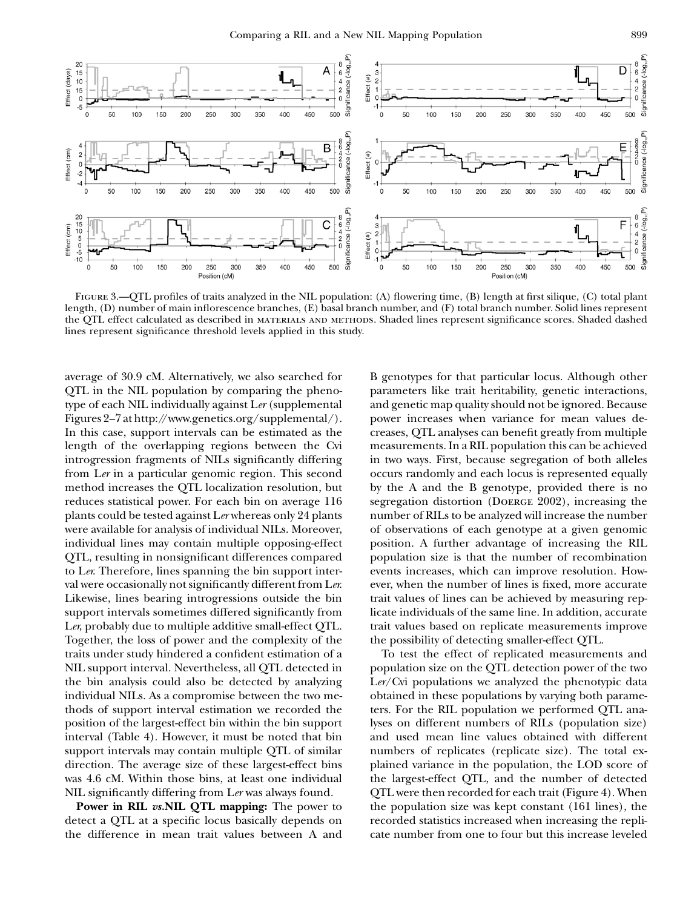

FIGURE 3.—QTL profiles of traits analyzed in the NIL population: (A) flowering time, (B) length at first silique, (C) total plant length, (D) number of main inflorescence branches, (E) basal branch number, and (F) total branch number. Solid lines represent the QTL effect calculated as described in materials and methods. Shaded lines represent significance scores. Shaded dashed lines represent significance threshold levels applied in this study.

average of 30.9 cM. Alternatively, we also searched for QTL in the NIL population by comparing the phenotype of each NIL individually against Ler (supplemental Figures 2–7 at http://www.genetics.org/supplemental/). In this case, support intervals can be estimated as the length of the overlapping regions between the Cvi introgression fragments of NILs significantly differing from Ler in a particular genomic region. This second method increases the QTL localization resolution, but reduces statistical power. For each bin on average 116 plants could be tested against Ler whereas only 24 plants were available for analysis of individual NILs. Moreover, individual lines may contain multiple opposing-effect QTL, resulting in nonsignificant differences compared to Ler. Therefore, lines spanning the bin support interval were occasionally not significantly different from Ler. Likewise, lines bearing introgressions outside the bin support intervals sometimes differed significantly from Ler, probably due to multiple additive small-effect QTL. Together, the loss of power and the complexity of the traits under study hindered a confident estimation of a NIL support interval. Nevertheless, all QTL detected in the bin analysis could also be detected by analyzing individual NILs. As a compromise between the two methods of support interval estimation we recorded the position of the largest-effect bin within the bin support interval (Table 4). However, it must be noted that bin support intervals may contain multiple QTL of similar direction. The average size of these largest-effect bins was 4.6 cM. Within those bins, at least one individual NIL significantly differing from Ler was always found.

**Power in RIL vs.NIL QTL mapping:** The power to detect a QTL at a specific locus basically depends on the difference in mean trait values between A and

B genotypes for that particular locus. Although other parameters like trait heritability, genetic interactions, and genetic map quality should not be ignored. Because power increases when variance for mean values decreases, QTL analyses can benefit greatly from multiple measurements. In a RIL population this can be achieved in two ways. First, because segregation of both alleles occurs randomly and each locus is represented equally by the A and the B genotype, provided there is no segregation distortion (DOERGE 2002), increasing the number of RILs to be analyzed will increase the number of observations of each genotype at a given genomic position. A further advantage of increasing the RIL population size is that the number of recombination events increases, which can improve resolution. However, when the number of lines is fixed, more accurate trait values of lines can be achieved by measuring replicate individuals of the same line. In addition, accurate trait values based on replicate measurements improve the possibility of detecting smaller-effect QTL.

To test the effect of replicated measurements and population size on the QTL detection power of the two Ler/Cvi populations we analyzed the phenotypic data obtained in these populations by varying both parameters. For the RIL population we performed QTL analyses on different numbers of RILs (population size) and used mean line values obtained with different numbers of replicates (replicate size). The total explained variance in the population, the LOD score of the largest-effect QTL, and the number of detected QTL were then recorded for each trait (Figure 4). When the population size was kept constant (161 lines), the recorded statistics increased when increasing the replicate number from one to four but this increase leveled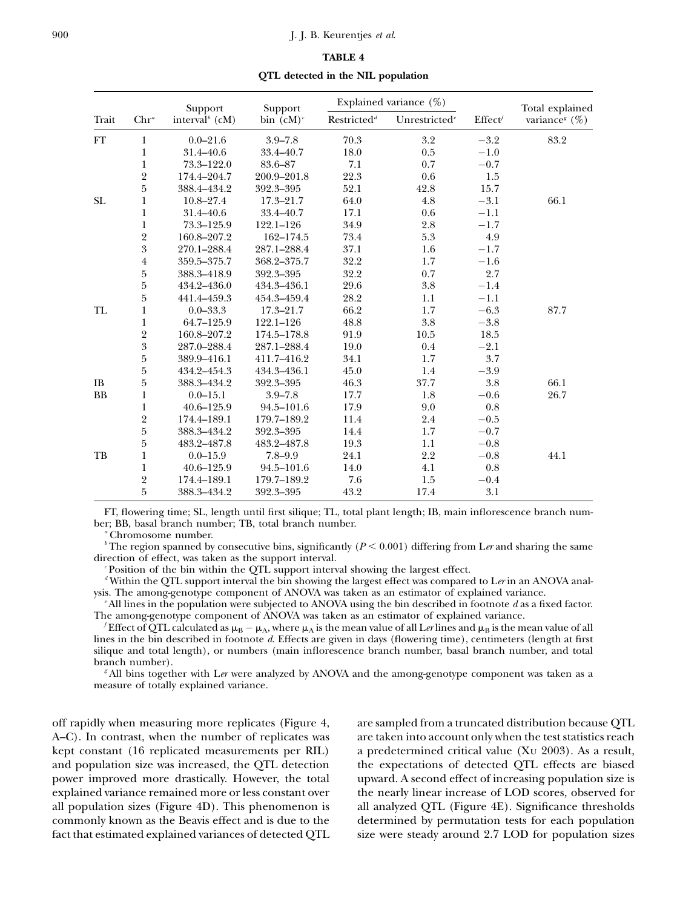| <b>TABLE 4</b>                     |  |  |  |  |
|------------------------------------|--|--|--|--|
| OTL detected in the NIL population |  |  |  |  |

|           |                  | Support                    | Support       |                         | Explained variance $(\%)$ |                     | Total explained                        |
|-----------|------------------|----------------------------|---------------|-------------------------|---------------------------|---------------------|----------------------------------------|
| Trait     | $Chr^a$          | interval <sup>b</sup> (cM) | bin $(cM)^c$  | Restricted <sup>d</sup> | Unrestricted <sup>e</sup> | Effect <sup>f</sup> | variance <sup><math>g</math></sup> (%) |
| <b>FT</b> | 1                | $0.0 - 21.6$               | $3.9 - 7.8$   | 70.3                    | 3.2                       | $-3.2$              | 83.2                                   |
|           | 1                | $31.4 - 40.6$              | 33.4-40.7     | 18.0                    | 0.5                       | $-1.0$              |                                        |
|           | $\mathbf{1}$     | 73.3-122.0                 | 83.6-87       | 7.1                     | 0.7                       | $-0.7$              |                                        |
|           | $\overline{2}$   | 174.4-204.7                | 200.9-201.8   | 22.3                    | 0.6                       | 1.5                 |                                        |
|           | $\overline{5}$   | 388.4-434.2                | 392.3-395     | 52.1                    | 42.8                      | 15.7                |                                        |
| <b>SL</b> | $\mathbf{1}$     | 10.8-27.4                  | $17.3 - 21.7$ | 64.0                    | 4.8                       | $-3.1$              | 66.1                                   |
|           | 1                | $31.4 - 40.6$              | 33.4-40.7     | 17.1                    | 0.6                       | $-1.1$              |                                        |
|           | $\mathbf{1}$     | 73.3-125.9                 | $122.1 - 126$ | 34.9                    | 2.8                       | $-1.7$              |                                        |
|           | $\overline{2}$   | 160.8-207.2                | 162-174.5     | 73.4                    | 5.3                       | 4.9                 |                                        |
|           | $\boldsymbol{3}$ | 270.1-288.4                | 287.1-288.4   | 37.1                    | 1.6                       | $-1.7$              |                                        |
|           | $\overline{4}$   | 359.5-375.7                | 368.2-375.7   | 32.2                    | 1.7                       | $-1.6$              |                                        |
|           | $\mathbf 5$      | 388.3-418.9                | 392.3-395     | 32.2                    | 0.7                       | 2.7                 |                                        |
|           | $\overline{5}$   | 434.2-436.0                | 434.3-436.1   | 29.6                    | 3.8                       | $-1.4$              |                                        |
|           | 5                | 441.4-459.3                | 454.3-459.4   | 28.2                    | 1.1                       | $-1.1$              |                                        |
| TL        | $\mathbf{1}$     | $0.0 - 33.3$               | $17.3 - 21.7$ | 66.2                    | 1.7                       | $-6.3$              | 87.7                                   |
|           | $\mathbf{1}$     | 64.7-125.9                 | $122.1 - 126$ | 48.8                    | 3.8                       | $-3.8$              |                                        |
|           | $\,2\,$          | 160.8-207.2                | 174.5-178.8   | 91.9                    | 10.5                      | 18.5                |                                        |
|           | $\boldsymbol{3}$ | 287.0-288.4                | 287.1-288.4   | 19.0                    | 0.4                       | $-2.1$              |                                        |
|           | $\overline{5}$   | 389.9-416.1                | 411.7-416.2   | 34.1                    | 1.7                       | 3.7                 |                                        |
|           | 5                | 434.2-454.3                | 434.3-436.1   | 45.0                    | 1.4                       | $-3.9$              |                                        |
| <b>IB</b> | 5                | 388.3-434.2                | 392.3-395     | 46.3                    | 37.7                      | 3.8                 | 66.1                                   |
| <b>BB</b> | 1                | $0.0 - 15.1$               | $3.9 - 7.8$   | 17.7                    | 1.8                       | $-0.6$              | 26.7                                   |
|           | $\mathbf{1}$     | $40.6 - 125.9$             | 94.5-101.6    | 17.9                    | 9.0                       | 0.8                 |                                        |
|           | $\overline{2}$   | 174.4-189.1                | 179.7-189.2   | 11.4                    | 2.4                       | $-0.5$              |                                        |
|           | $\overline{5}$   | 388.3-434.2                | 392.3-395     | 14.4                    | 1.7                       | $-0.7$              |                                        |
|           | 5                | 483.2-487.8                | 483.2-487.8   | 19.3                    | 1.1                       | $-0.8$              |                                        |
| TB        | $\mathbf{1}$     | $0.0 - 15.9$               | $7.8 - 9.9$   | 24.1                    | 2.2                       | $-0.8$              | 44.1                                   |
|           | $\mathbf{1}$     | $40.6 - 125.9$             | 94.5-101.6    | 14.0                    | 4.1                       | 0.8                 |                                        |
|           | $\overline{2}$   | 174.4-189.1                | 179.7-189.2   | 7.6                     | 1.5                       | $-0.4$              |                                        |
|           | $\overline{5}$   | 388.3-434.2                | 392.3-395     | 43.2                    | 17.4                      | 3.1                 |                                        |

FT, flowering time; SL, length until first silique; TL, total plant length; IB, main inflorescence branch number; BB, basal branch number; TB, total branch number.<br>"Chromosome number.

<sup>b</sup> The region spanned by consecutive bins, significantly ( $P < 0.001$ ) differing from Ler and sharing the same direction of effect, was taken as the support interval.

Position of the bin within the QTL support interval showing the largest effect.

 $d$  Within the QTL support interval the bin showing the largest effect was compared to Ler in an ANOVA analysis. The among-genotype component of ANOVA was taken as an estimator of explained variance.

 $\alpha$  All lines in the population were subjected to ANOVA using the bin described in footnote d as a fixed factor. The among-genotype component of ANOVA was taken as an estimator of explained variance. <sup>f</sup>

Effect of QTL calculated as  $\mu_B - \mu_A$ , where  $\mu_A$  is the mean value of all L $e r$  lines and  $\mu_B$  is the mean value of all lines in the bin described in footnote d. Effects are given in days (flowering time), centimeters (length at first silique and total length), or numbers (main inflorescence branch number, basal branch number, and total branch number).

 ${}^g$ All bins together with Ler were analyzed by ANOVA and the among-genotype component was taken as a measure of totally explained variance.

off rapidly when measuring more replicates (Figure 4, A–C). In contrast, when the number of replicates was kept constant (16 replicated measurements per RIL) and population size was increased, the QTL detection power improved more drastically. However, the total explained variance remained more or less constant over all population sizes (Figure 4D). This phenomenon is commonly known as the Beavis effect and is due to the fact that estimated explained variances of detected QTL are sampled from a truncated distribution because QTL are taken into account only when the test statistics reach a predetermined critical value (Xu 2003). As a result, the expectations of detected QTL effects are biased upward. A second effect of increasing population size is the nearly linear increase of LOD scores, observed for all analyzed QTL (Figure 4E). Significance thresholds determined by permutation tests for each population size were steady around 2.7 LOD for population sizes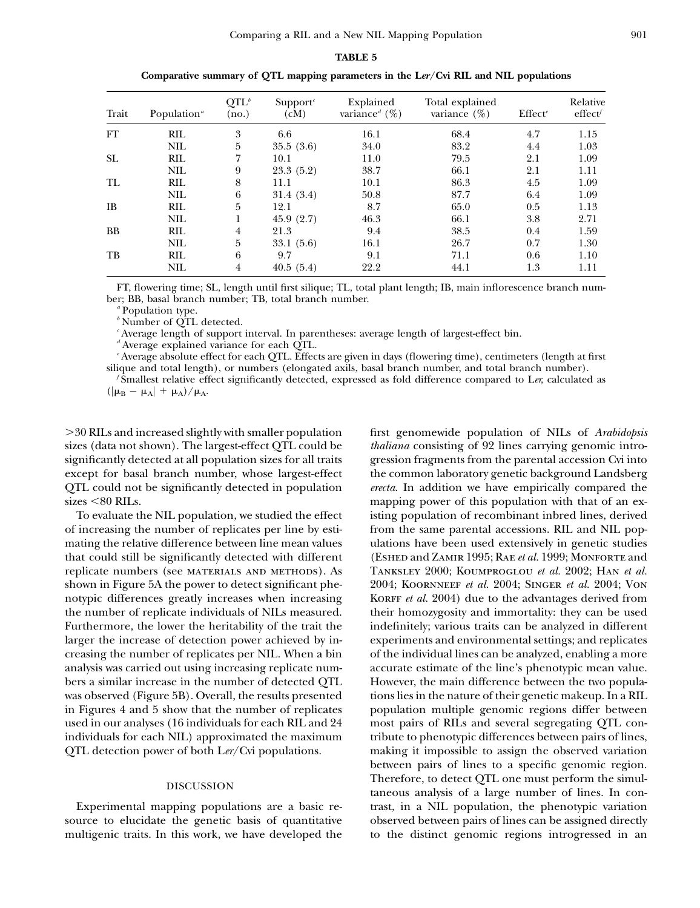| <b>TABLE 5</b> |  |
|----------------|--|
|----------------|--|

| Trait     | Population <sup>®</sup> | $QTL^b$<br>(no.) | $Support^c$<br>(cM) | Explained<br>variance <sup><i>d</i></sup> (%) | Total explained<br>variance $(\%)$ | Effect <sup>e</sup> | Relative<br>effect' |
|-----------|-------------------------|------------------|---------------------|-----------------------------------------------|------------------------------------|---------------------|---------------------|
| FT        | <b>RIL</b>              | 3                | 6.6                 | 16.1                                          | 68.4                               | 4.7                 | 1.15                |
|           | <b>NIL</b>              | 5                | 35.5(3.6)           | 34.0                                          | 83.2                               | 4.4                 | 1.03                |
| SL.       | <b>RIL</b>              | 7                | 10.1                | 11.0                                          | 79.5                               | 2.1                 | 1.09                |
|           | <b>NIL</b>              | 9                | 23.3(5.2)           | 38.7                                          | 66.1                               | 2.1                 | 1.11                |
| TL        | <b>RIL</b>              | 8                | 11.1                | 10.1                                          | 86.3                               | 4.5                 | 1.09                |
|           | <b>NIL</b>              | 6                | 31.4(3.4)           | 50.8                                          | 87.7                               | 6.4                 | 1.09                |
| <b>IB</b> | <b>RIL</b>              | 5                | 12.1                | 8.7                                           | 65.0                               | 0.5                 | 1.13                |
|           | <b>NIL</b>              |                  | 45.9(2.7)           | 46.3                                          | 66.1                               | 3.8                 | 2.71                |
| <b>BB</b> | <b>RIL</b>              | 4                | 21.3                | 9.4                                           | 38.5                               | 0.4                 | 1.59                |
|           | <b>NIL</b>              | 5                | 33.1(5.6)           | 16.1                                          | 26.7                               | 0.7                 | 1.30                |
| TB        | <b>RIL</b>              | 6                | 9.7                 | 9.1                                           | 71.1                               | 0.6                 | 1.10                |
|           | <b>NIL</b>              | $\overline{4}$   | 40.5(5.4)           | 22.2                                          | 44.1                               | 1.3                 | 1.11                |

Comparative summary of QTL mapping parameters in the Ler/Cvi RIL and NIL populations

FT, flowering time; SL, length until first silique; TL, total plant length; IB, main inflorescence branch number; BB, basal branch number; TB, total branch number. "Population type.

<sup>b</sup> Number of QTL detected.

c Average length of support interval. In parentheses: average length of largest-effect bin.

 $d$  Average explained variance for each QTL.

e Average absolute effect for each QTL. Effects are given in days (flowering time), centimeters (length at first silique and total length), or numbers (elongated axils, basal branch number, and total branch number).

Smallest relative effect significantly detected, expressed as fold difference compared to Ler, calculated as  $(|\mu_B - \mu_A| + \mu_A)/\mu_A$ .

.30 RILs and increased slightly with smaller population sizes (data not shown). The largest-effect QTL could be significantly detected at all population sizes for all traits except for basal branch number, whose largest-effect QTL could not be significantly detected in population sizes  $<$ 80 RILs.

To evaluate the NIL population, we studied the effect of increasing the number of replicates per line by estimating the relative difference between line mean values that could still be significantly detected with different replicate numbers (see MATERIALS AND METHODS). As shown in Figure 5A the power to detect significant phenotypic differences greatly increases when increasing the number of replicate individuals of NILs measured. Furthermore, the lower the heritability of the trait the larger the increase of detection power achieved by increasing the number of replicates per NIL. When a bin analysis was carried out using increasing replicate numbers a similar increase in the number of detected QTL was observed (Figure 5B). Overall, the results presented in Figures 4 and 5 show that the number of replicates used in our analyses (16 individuals for each RIL and 24 individuals for each NIL) approximated the maximum QTL detection power of both Ler/Cvi populations.

#### DISCUSSION

Experimental mapping populations are a basic resource to elucidate the genetic basis of quantitative multigenic traits. In this work, we have developed the

first genomewide population of NILs of Arabidopsis thaliana consisting of 92 lines carrying genomic introgression fragments from the parental accession Cvi into the common laboratory genetic background Landsberg erecta. In addition we have empirically compared the mapping power of this population with that of an existing population of recombinant inbred lines, derived from the same parental accessions. RIL and NIL populations have been used extensively in genetic studies (ESHED and ZAMIR 1995; RAE et al. 1999; MONFORTE and Tanksley 2000; Koumproglou et al. 2002; Han et al. 2004; Koornneef et al. 2004; Singer et al. 2004; Von KORFF et al. 2004) due to the advantages derived from their homozygosity and immortality: they can be used indefinitely; various traits can be analyzed in different experiments and environmental settings; and replicates of the individual lines can be analyzed, enabling a more accurate estimate of the line's phenotypic mean value. However, the main difference between the two populations lies in the nature of their genetic makeup. In a RIL population multiple genomic regions differ between most pairs of RILs and several segregating QTL contribute to phenotypic differences between pairs of lines, making it impossible to assign the observed variation between pairs of lines to a specific genomic region. Therefore, to detect QTL one must perform the simultaneous analysis of a large number of lines. In contrast, in a NIL population, the phenotypic variation observed between pairs of lines can be assigned directly to the distinct genomic regions introgressed in an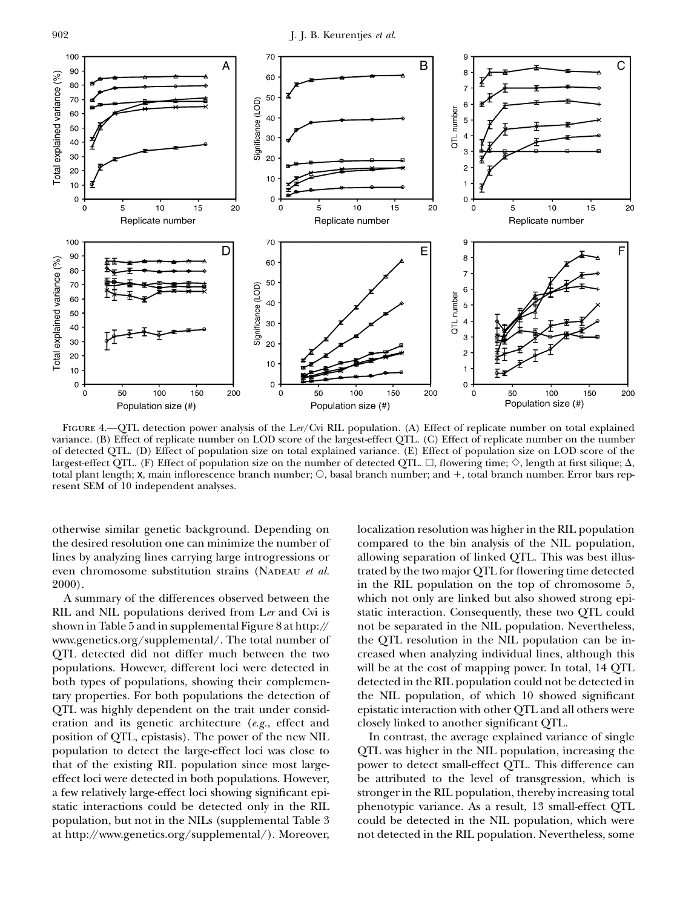

FIGURE 4.—QTL detection power analysis of the Ler/Cvi RIL population. (A) Effect of replicate number on total explained variance. (B) Effect of replicate number on LOD score of the largest-effect QTL. (C) Effect of replicate number on the number of detected QTL. (D) Effect of population size on total explained variance. (E) Effect of population size on LOD score of the largest-effect QTL. (F) Effect of population size on the number of detected QTL.  $\Box$ , flowering time;  $\diamond$ , length at first silique;  $\Delta$ , total plant length;  $x$ , main inflorescence branch number;  $\circ$ , basal branch number; and  $+$ , total branch number. Error bars represent SEM of 10 independent analyses.

otherwise similar genetic background. Depending on the desired resolution one can minimize the number of lines by analyzing lines carrying large introgressions or even chromosome substitution strains (NADEAU et al. 2000).

A summary of the differences observed between the RIL and NIL populations derived from Ler and Cvi is shown in Table 5 and in supplemental Figure 8 at http:// www.genetics.org/supplemental/. The total number of QTL detected did not differ much between the two populations. However, different loci were detected in both types of populations, showing their complementary properties. For both populations the detection of QTL was highly dependent on the trait under consideration and its genetic architecture (e.g., effect and position of QTL, epistasis). The power of the new NIL population to detect the large-effect loci was close to that of the existing RIL population since most largeeffect loci were detected in both populations. However, a few relatively large-effect loci showing significant epistatic interactions could be detected only in the RIL population, but not in the NILs (supplemental Table 3 at http://www.genetics.org/supplemental/). Moreover, localization resolution was higher in the RIL population compared to the bin analysis of the NIL population, allowing separation of linked QTL. This was best illustrated by the two major QTL for flowering time detected in the RIL population on the top of chromosome 5, which not only are linked but also showed strong epistatic interaction. Consequently, these two QTL could not be separated in the NIL population. Nevertheless, the QTL resolution in the NIL population can be increased when analyzing individual lines, although this will be at the cost of mapping power. In total, 14 QTL detected in the RIL population could not be detected in the NIL population, of which 10 showed significant epistatic interaction with other QTL and all others were closely linked to another significant QTL.

In contrast, the average explained variance of single QTL was higher in the NIL population, increasing the power to detect small-effect QTL. This difference can be attributed to the level of transgression, which is stronger in the RIL population, thereby increasing total phenotypic variance. As a result, 13 small-effect QTL could be detected in the NIL population, which were not detected in the RIL population. Nevertheless, some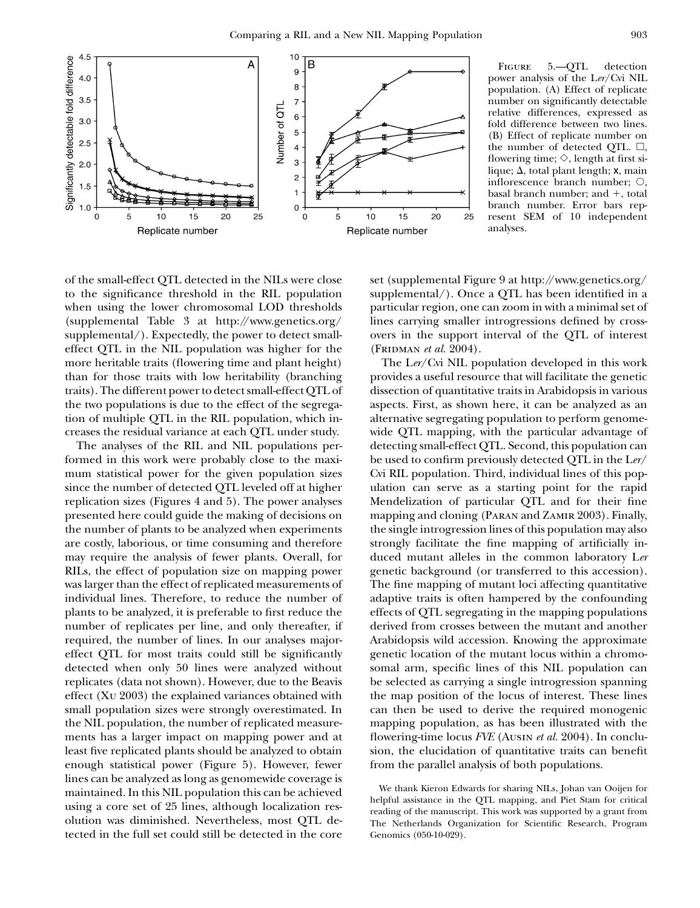

FIGURE 5.—OTL detection power analysis of the Ler/Cvi NIL population. (A) Effect of replicate number on significantly detectable relative differences, expressed as fold difference between two lines. (B) Effect of replicate number on the number of detected QTL.  $\Box$ , flowering time;  $\Diamond$ , length at first silique;  $\Delta$ , total plant length; x, main inflorescence branch number;  $\circlearrowleft$ , basal branch number; and  $+$ , total branch number. Error bars represent SEM of 10 independent analyses.

of the small-effect QTL detected in the NILs were close to the significance threshold in the RIL population when using the lower chromosomal LOD thresholds (supplemental Table 3 at http://www.genetics.org/ supplemental/). Expectedly, the power to detect smalleffect QTL in the NIL population was higher for the more heritable traits (flowering time and plant height) than for those traits with low heritability (branching traits). The different power to detect small-effect QTL of the two populations is due to the effect of the segregation of multiple QTL in the RIL population, which increases the residual variance at each QTL under study.

The analyses of the RIL and NIL populations performed in this work were probably close to the maximum statistical power for the given population sizes since the number of detected QTL leveled off at higher replication sizes (Figures 4 and 5). The power analyses presented here could guide the making of decisions on the number of plants to be analyzed when experiments are costly, laborious, or time consuming and therefore may require the analysis of fewer plants. Overall, for RILs, the effect of population size on mapping power was larger than the effect of replicated measurements of individual lines. Therefore, to reduce the number of plants to be analyzed, it is preferable to first reduce the number of replicates per line, and only thereafter, if required, the number of lines. In our analyses majoreffect QTL for most traits could still be significantly detected when only 50 lines were analyzed without replicates (data not shown). However, due to the Beavis effect (Xu 2003) the explained variances obtained with small population sizes were strongly overestimated. In the NIL population, the number of replicated measurements has a larger impact on mapping power and at least five replicated plants should be analyzed to obtain enough statistical power (Figure 5). However, fewer lines can be analyzed as long as genomewide coverage is maintained. In this NIL population this can be achieved using a core set of 25 lines, although localization resolution was diminished. Nevertheless, most QTL detected in the full set could still be detected in the core

set (supplemental Figure 9 at http://www.genetics.org/ supplemental/). Once a QTL has been identified in a particular region, one can zoom in with a minimal set of lines carrying smaller introgressions defined by crossovers in the support interval of the QTL of interest (FRIDMAN et al.  $2004$ ).

The Ler/Cvi NIL population developed in this work provides a useful resource that will facilitate the genetic dissection of quantitative traits in Arabidopsis in various aspects. First, as shown here, it can be analyzed as an alternative segregating population to perform genomewide QTL mapping, with the particular advantage of detecting small-effect QTL. Second, this population can be used to confirm previously detected QTL in the Ler/ Cvi RIL population. Third, individual lines of this population can serve as a starting point for the rapid Mendelization of particular QTL and for their fine mapping and cloning (PARAN and ZAMIR 2003). Finally, the single introgression lines of this population may also strongly facilitate the fine mapping of artificially induced mutant alleles in the common laboratory Ler genetic background (or transferred to this accession). The fine mapping of mutant loci affecting quantitative adaptive traits is often hampered by the confounding effects of QTL segregating in the mapping populations derived from crosses between the mutant and another Arabidopsis wild accession. Knowing the approximate genetic location of the mutant locus within a chromosomal arm, specific lines of this NIL population can be selected as carrying a single introgression spanning the map position of the locus of interest. These lines can then be used to derive the required monogenic mapping population, as has been illustrated with the flowering-time locus FVE (Ausin et al. 2004). In conclusion, the elucidation of quantitative traits can benefit from the parallel analysis of both populations.

We thank Kieron Edwards for sharing NILs, Johan van Ooijen for helpful assistance in the QTL mapping, and Piet Stam for critical reading of the manuscript. This work was supported by a grant from The Netherlands Organization for Scientific Research, Program Genomics (050-10-029).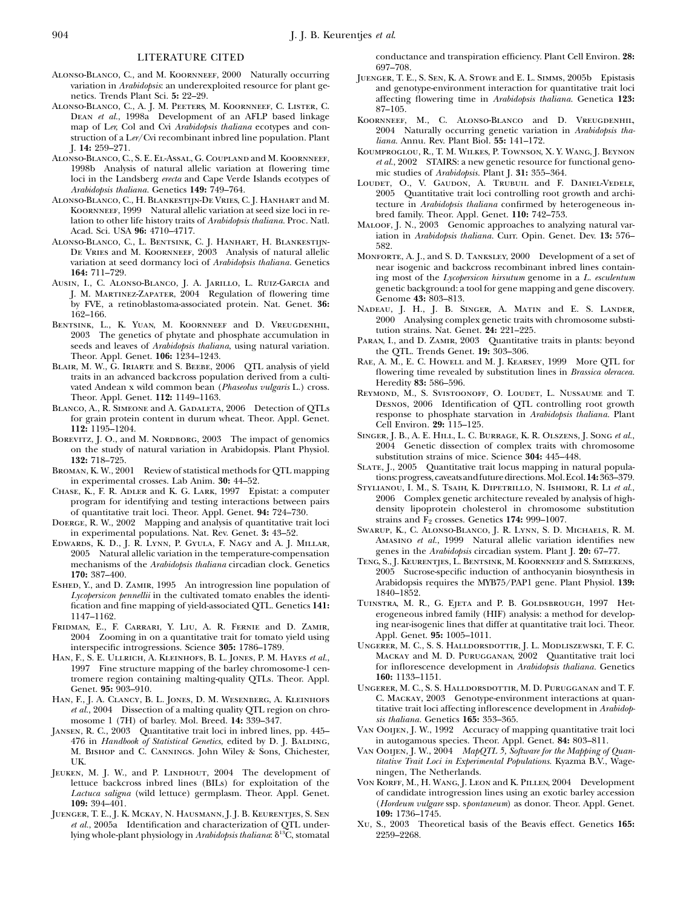- Alonso-Blanco, C., and M. Koornneef, 2000 Naturally occurring variation in Arabidopsis: an underexploited resource for plant genetics. Trends Plant Sci. 5: 22–29.
- Alonso-Blanco, C., A. J. M. Peeters, M. Koornneef, C. Lister, C. Dean et al., 1998a Development of an AFLP based linkage map of Ler, Col and Cvi Arabidopsis thaliana ecotypes and construction of a Ler/Cvi recombinant inbred line population. Plant J. 14: 259–271.
- Alonso-Blanco, C., S. E. El-Assal, G. Coupland and M. Koornneef, 1998b Analysis of natural allelic variation at flowering time loci in the Landsberg erecta and Cape Verde Islands ecotypes of Arabidopsis thaliana. Genetics 149: 749–764.
- Alonso-Blanco, C., H. Blankestijn-De Vries, C. J. Hanhart and M. Koornneef, 1999 Natural allelic variation at seed size loci in relation to other life history traits of Arabidopsis thaliana. Proc. Natl. Acad. Sci. USA 96: 4710–4717.
- Alonso-Blanco, C., L. Bentsink, C. J. Hanhart, H. Blankestijn-DE VRIES and M. KOORNNEEF, 2003 Analysis of natural allelic variation at seed dormancy loci of Arabidopsis thaliana. Genetics 164: 711–729.
- Ausin, I., C. Alonso-Blanco, J. A. Jarillo, L. Ruiz-Garcia and J. M. Martinez-Zapater, 2004 Regulation of flowering time by FVE, a retinoblastoma-associated protein. Nat. Genet. 36: 162–166.
- BENTSINK, L., K. YUAN, M. KOORNNEEF and D. VREUGDENHIL, 2003 The genetics of phytate and phosphate accumulation in seeds and leaves of Arabidopsis thaliana, using natural variation. Theor. Appl. Genet. 106: 1234–1243.
- BLAIR, M. W., G. IRIARTE and S. BEEBE, 2006 QTL analysis of yield traits in an advanced backcross population derived from a cultivated Andean x wild common bean (Phaseolus vulgaris L.) cross. Theor. Appl. Genet. 112: 1149–1163.
- BLANCO, A., R. SIMEONE and A. GADALETA, 2006 Detection of QTLs for grain protein content in durum wheat. Theor. Appl. Genet. 112: 1195–1204.
- BOREVITZ, J. O., and M. NORDBORG, 2003 The impact of genomics on the study of natural variation in Arabidopsis. Plant Physiol. 132: 718–725.
- Broman, K. W., 2001 Review of statistical methods for QTL mapping in experimental crosses. Lab Anim. 30: 44–52.
- Chase, K., F. R. Adler and K. G. Lark, 1997 Epistat: a computer program for identifying and testing interactions between pairs of quantitative trait loci. Theor. Appl. Genet. 94: 724–730.
- DOERGE, R. W., 2002 Mapping and analysis of quantitative trait loci in experimental populations. Nat. Rev. Genet. 3: 43–52.
- Edwards, K. D., J. R. Lynn, P. Gyula, F. Nagy and A. J. Millar, 2005 Natural allelic variation in the temperature-compensation mechanisms of the Arabidopsis thaliana circadian clock. Genetics 170: 387–400.
- Eshed, Y., and D. Zamir, 1995 An introgression line population of Lycopersicon pennellii in the cultivated tomato enables the identification and fine mapping of yield-associated QTL. Genetics 141: 1147–1162.
- Fridman, E., F. Carrari, Y. Liu, A. R. Fernie and D. Zamir, 2004 Zooming in on a quantitative trait for tomato yield using interspecific introgressions. Science 305: 1786–1789.
- HAN, F., S. E. ULLRICH, A. KLEINHOFS, B. L. JONES, P. M. HAYES et al., 1997 Fine structure mapping of the barley chromosome-1 centromere region containing malting-quality QTLs. Theor. Appl. Genet. 95: 903–910.
- Han, F., J. A. Clancy, B. L. Jones, D. M. Wesenberg, A. Kleinhofs et al., 2004 Dissection of a malting quality QTL region on chromosome 1 (7H) of barley. Mol. Breed. 14: 339–347.
- Jansen, R. C., 2003 Quantitative trait loci in inbred lines, pp. 445– 476 in Handbook of Statistical Genetics, edited by D. J. BALDING, M. Bishop and C. Cannings. John Wiley & Sons, Chichester, UK.
- JEUKEN, M. J. W., and P. LINDHOUT, 2004 The development of lettuce backcross inbred lines (BILs) for exploitation of the Lactuca saligna (wild lettuce) germplasm. Theor. Appl. Genet. 109: 394–401.
- Juenger, T. E., J. K. Mckay, N. Hausmann, J. J. B. Keurentjes, S. Sen et al., 2005a Identification and characterization of QTL underlying whole-plant physiology in Arabidopsis thaliana:  $\delta^{13}$ C, stomatal

conductance and transpiration efficiency. Plant Cell Environ. 28: 697–708.

- Juenger, T. E., S. Sen, K. A. Stowe and E. L. Simms, 2005b Epistasis and genotype-environment interaction for quantitative trait loci affecting flowering time in Arabidopsis thaliana. Genetica 123: 87–105.
- Koornneef, M., C. Alonso-Blanco and D. Vreugdenhil, 2004 Naturally occurring genetic variation in Arabidopsis thaliana. Annu. Rev. Plant Biol. 55: 141–172.
- Koumproglou, R., T. M. Wilkes, P. Townson, X. Y. Wang, J. Beynon et al., 2002 STAIRS: a new genetic resource for functional genomic studies of Arabidopsis. Plant J. 31: 355-364.
- LOUDET, O., V. GAUDON, A. TRUBUIL and F. DANIEL-VEDELE, 2005 Quantitative trait loci controlling root growth and architecture in Arabidopsis thaliana confirmed by heterogeneous inbred family. Theor. Appl. Genet. 110: 742–753.
- Maloof, J. N., 2003 Genomic approaches to analyzing natural variation in Arabidopsis thaliana. Curr. Opin. Genet. Dev. 13: 576– 582.
- Monforte, A. J., and S. D. Tanksley, 2000 Development of a set of near isogenic and backcross recombinant inbred lines containing most of the Lycopersicon hirsutum genome in a L. esculentum genetic background: a tool for gene mapping and gene discovery. Genome 43: 803–813.
- Nadeau, J. H., J. B. Singer, A. Matin and E. S. Lander, 2000 Analysing complex genetic traits with chromosome substitution strains. Nat. Genet. 24: 221–225.
- PARAN, I., and D. ZAMIR, 2003 Quantitative traits in plants: beyond the QTL. Trends Genet. 19: 303–306.
- Rae, A. M., E. C. Howell and M. J. Kearsey, 1999 More QTL for flowering time revealed by substitution lines in Brassica oleracea. Heredity 83: 586–596.
- Reymond, M., S. Svistoonoff, O. Loudet, L. Nussaume and T. Desnos, 2006 Identification of QTL controlling root growth response to phosphate starvation in Arabidopsis thaliana. Plant Cell Environ. 29: 115–125.
- SINGER, J. B., A. E. HILL, L. C. BURRAGE, K. R. OLSZENS, J. SONG et al., 2004 Genetic dissection of complex traits with chromosome substitution strains of mice. Science 304: 445–448.
- Slate, J., 2005 Quantitative trait locus mapping in natural populations:progress,caveatsandfuturedirections.Mol.Ecol.14:363–379.
- STYLIANOU, I. M., S. TSAIH, K. DIPETRILLO, N. ISHIMORI, R. LI et al., 2006 Complex genetic architecture revealed by analysis of highdensity lipoprotein cholesterol in chromosome substitution strains and  $F_2$  crosses. Genetics 174: 999–1007.
- Swarup, K., C. Alonso-Blanco, J. R. Lynn, S. D. Michaels, R. M. Amasino et al., 1999 Natural allelic variation identifies new genes in the Arabidopsis circadian system. Plant J. 20: 67–77.
- Teng, S., J. Keurentjes, L. Bentsink, M. Koornneef and S. Smeekens, 2005 Sucrose-specific induction of anthocyanin biosynthesis in Arabidopsis requires the MYB75/PAP1 gene. Plant Physiol. 139: 1840–1852.
- Tuinstra, M. R., G. Ejeta and P. B. Goldsbrough, 1997 Heterogeneous inbred family (HIF) analysis: a method for developing near-isogenic lines that differ at quantitative trait loci. Theor. Appl. Genet. 95: 1005–1011.
- Ungerer, M. C., S. S. Halldorsdottir, J. L. Modliszewski, T. F. C. MACKAY and M. D. PURUGGANAN, 2002 Quantitative trait loci for inflorescence development in Arabidopsis thaliana. Genetics 160: 1133–1151.
- Ungerer, M. C., S. S. Halldorsdottir, M. D. Purugganan and T. F. C. Mackay, 2003 Genotype-environment interactions at quantitative trait loci affecting inflorescence development in Arabidopsis thaliana. Genetics 165: 353–365.
- Van Ooijen, J. W., 1992 Accuracy of mapping quantitative trait loci in autogamous species. Theor. Appl. Genet. 84: 803–811.
- VAN OOIJEN, J. W., 2004 MapQTL 5, Software for the Mapping of Quantitative Trait Loci in Experimental Populations. Kyazma B.V., Wageningen, The Netherlands.
- VON KORFF, M., H. WANG, J. LEON and K. PILLEN, 2004 Development of candidate introgression lines using an exotic barley accession (Hordeum vulgare ssp. spontaneum) as donor. Theor. Appl. Genet. 109: 1736–1745.
- Xu, S., 2003 Theoretical basis of the Beavis effect. Genetics 165: 2259–2268.